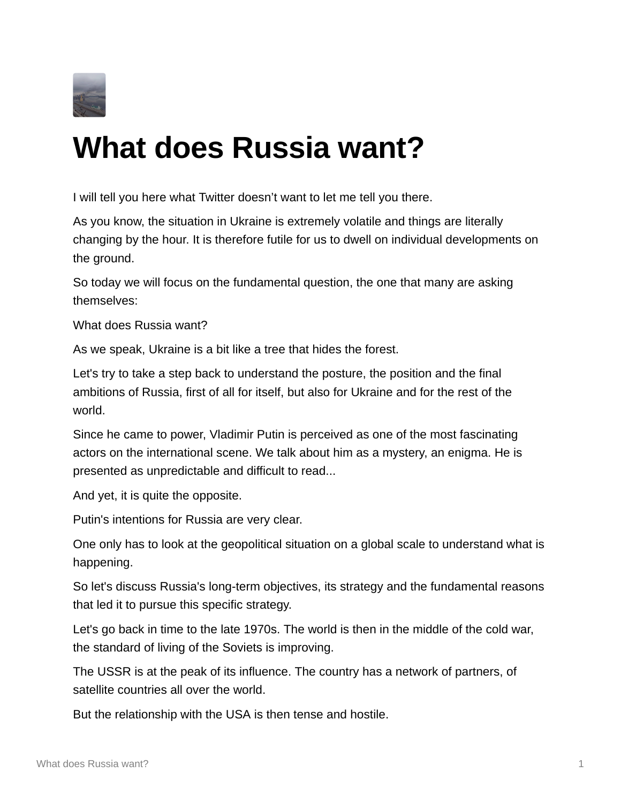

## **What does Russia want?**

I will tell you here what Twitter doesn't want to let me tell you there.

As you know, the situation in Ukraine is extremely volatile and things are literally changing by the hour. It is therefore futile for us to dwell on individual developments on the ground.

So today we will focus on the fundamental question, the one that many are asking themselves:

What does Russia want?

As we speak, Ukraine is a bit like a tree that hides the forest.

Let's try to take a step back to understand the posture, the position and the final ambitions of Russia, first of all for itself, but also for Ukraine and for the rest of the world.

Since he came to power, Vladimir Putin is perceived as one of the most fascinating actors on the international scene. We talk about him as a mystery, an enigma. He is presented as unpredictable and difficult to read...

And yet, it is quite the opposite.

Putin's intentions for Russia are very clear.

One only has to look at the geopolitical situation on a global scale to understand what is happening.

So let's discuss Russia's long-term objectives, its strategy and the fundamental reasons that led it to pursue this specific strategy.

Let's go back in time to the late 1970s. The world is then in the middle of the cold war, the standard of living of the Soviets is improving.

The USSR is at the peak of its influence. The country has a network of partners, of satellite countries all over the world.

But the relationship with the USA is then tense and hostile.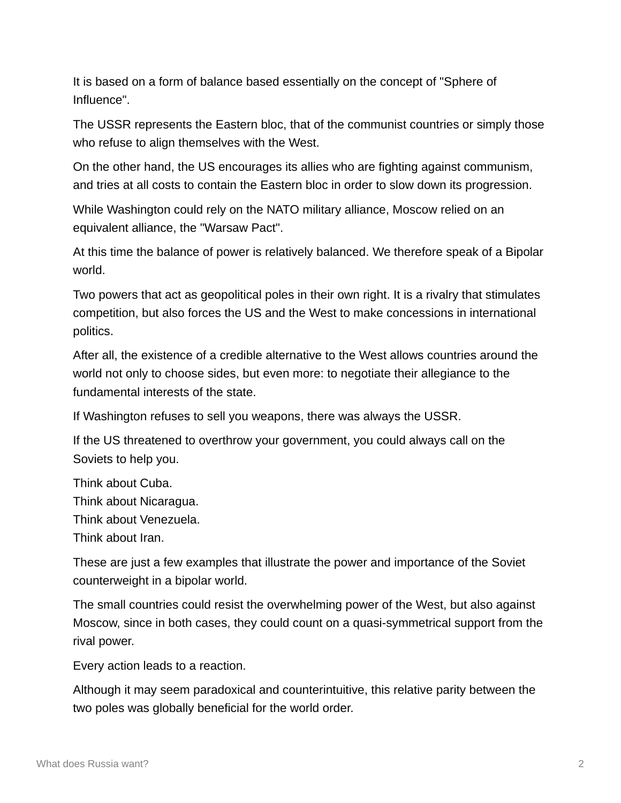It is based on a form of balance based essentially on the concept of "Sphere of Influence".

The USSR represents the Eastern bloc, that of the communist countries or simply those who refuse to align themselves with the West.

On the other hand, the US encourages its allies who are fighting against communism, and tries at all costs to contain the Eastern bloc in order to slow down its progression.

While Washington could rely on the NATO military alliance, Moscow relied on an equivalent alliance, the "Warsaw Pact".

At this time the balance of power is relatively balanced. We therefore speak of a Bipolar world.

Two powers that act as geopolitical poles in their own right. It is a rivalry that stimulates competition, but also forces the US and the West to make concessions in international politics.

After all, the existence of a credible alternative to the West allows countries around the world not only to choose sides, but even more: to negotiate their allegiance to the fundamental interests of the state.

If Washington refuses to sell you weapons, there was always the USSR.

If the US threatened to overthrow your government, you could always call on the Soviets to help you.

Think about Cuba.

Think about Nicaragua.

Think about Venezuela.

Think about Iran.

These are just a few examples that illustrate the power and importance of the Soviet counterweight in a bipolar world.

The small countries could resist the overwhelming power of the West, but also against Moscow, since in both cases, they could count on a quasi-symmetrical support from the rival power.

Every action leads to a reaction.

Although it may seem paradoxical and counterintuitive, this relative parity between the two poles was globally beneficial for the world order.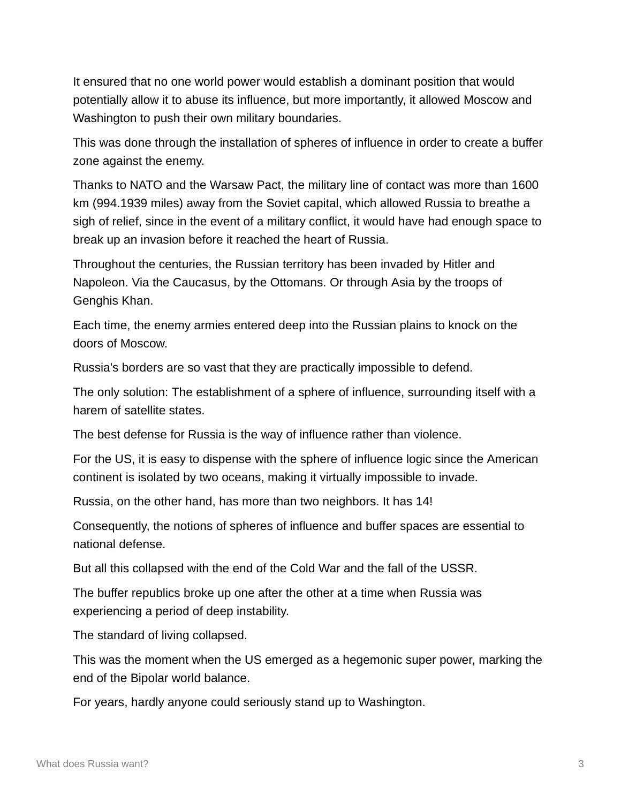It ensured that no one world power would establish a dominant position that would potentially allow it to abuse its influence, but more importantly, it allowed Moscow and Washington to push their own military boundaries.

This was done through the installation of spheres of influence in order to create a buffer zone against the enemy.

Thanks to NATO and the Warsaw Pact, the military line of contact was more than 1600 km (994.1939 miles) away from the Soviet capital, which allowed Russia to breathe a sigh of relief, since in the event of a military conflict, it would have had enough space to break up an invasion before it reached the heart of Russia.

Throughout the centuries, the Russian territory has been invaded by Hitler and Napoleon. Via the Caucasus, by the Ottomans. Or through Asia by the troops of Genghis Khan.

Each time, the enemy armies entered deep into the Russian plains to knock on the doors of Moscow.

Russia's borders are so vast that they are practically impossible to defend.

The only solution: The establishment of a sphere of influence, surrounding itself with a harem of satellite states.

The best defense for Russia is the way of influence rather than violence.

For the US, it is easy to dispense with the sphere of influence logic since the American continent is isolated by two oceans, making it virtually impossible to invade.

Russia, on the other hand, has more than two neighbors. It has 14!

Consequently, the notions of spheres of influence and buffer spaces are essential to national defense.

But all this collapsed with the end of the Cold War and the fall of the USSR.

The buffer republics broke up one after the other at a time when Russia was experiencing a period of deep instability.

The standard of living collapsed.

This was the moment when the US emerged as a hegemonic super power, marking the end of the Bipolar world balance.

For years, hardly anyone could seriously stand up to Washington.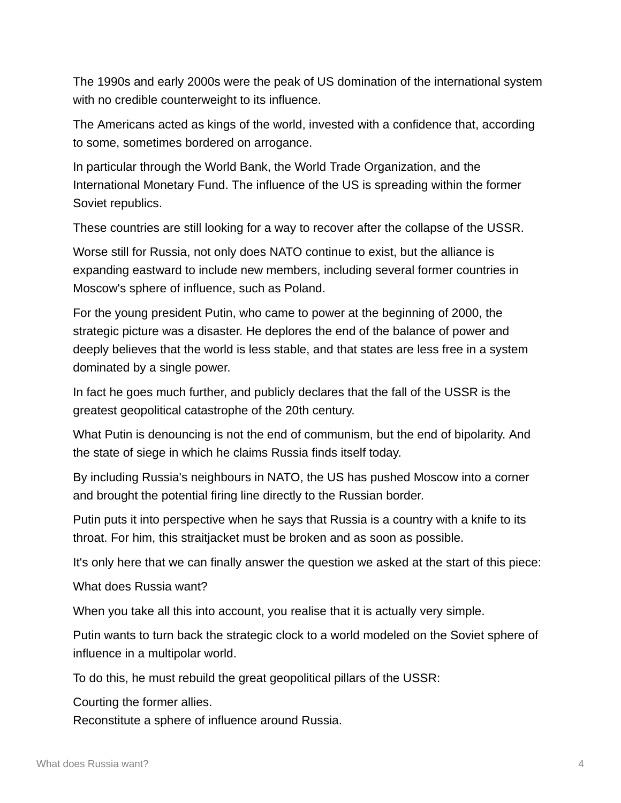The 1990s and early 2000s were the peak of US domination of the international system with no credible counterweight to its influence.

The Americans acted as kings of the world, invested with a confidence that, according to some, sometimes bordered on arrogance.

In particular through the World Bank, the World Trade Organization, and the International Monetary Fund. The influence of the US is spreading within the former Soviet republics.

These countries are still looking for a way to recover after the collapse of the USSR.

Worse still for Russia, not only does NATO continue to exist, but the alliance is expanding eastward to include new members, including several former countries in Moscow's sphere of influence, such as Poland.

For the young president Putin, who came to power at the beginning of 2000, the strategic picture was a disaster. He deplores the end of the balance of power and deeply believes that the world is less stable, and that states are less free in a system dominated by a single power.

In fact he goes much further, and publicly declares that the fall of the USSR is the greatest geopolitical catastrophe of the 20th century.

What Putin is denouncing is not the end of communism, but the end of bipolarity. And the state of siege in which he claims Russia finds itself today.

By including Russia's neighbours in NATO, the US has pushed Moscow into a corner and brought the potential firing line directly to the Russian border.

Putin puts it into perspective when he says that Russia is a country with a knife to its throat. For him, this straitjacket must be broken and as soon as possible.

It's only here that we can finally answer the question we asked at the start of this piece:

What does Russia want?

When you take all this into account, you realise that it is actually very simple.

Putin wants to turn back the strategic clock to a world modeled on the Soviet sphere of influence in a multipolar world.

To do this, he must rebuild the great geopolitical pillars of the USSR:

Courting the former allies.

Reconstitute a sphere of influence around Russia.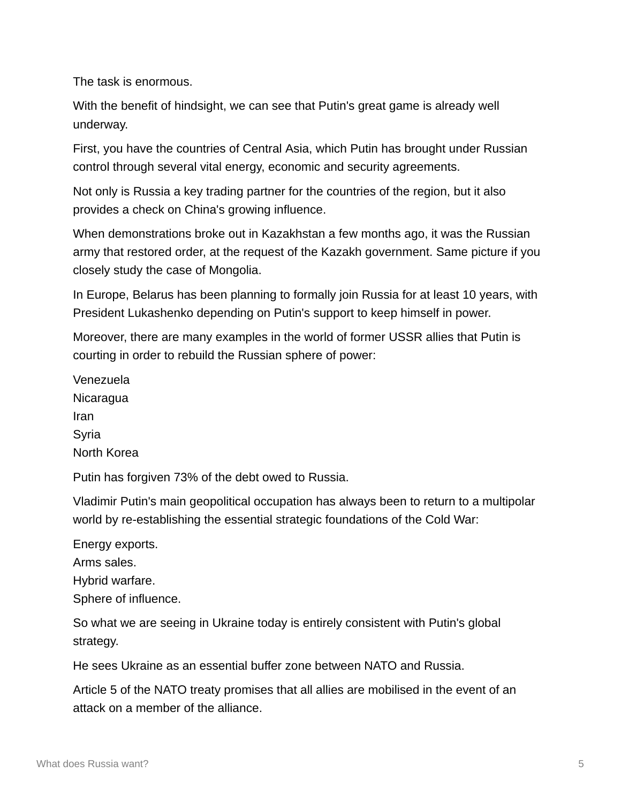The task is enormous.

With the benefit of hindsight, we can see that Putin's great game is already well underway.

First, you have the countries of Central Asia, which Putin has brought under Russian control through several vital energy, economic and security agreements.

Not only is Russia a key trading partner for the countries of the region, but it also provides a check on China's growing influence.

When demonstrations broke out in Kazakhstan a few months ago, it was the Russian army that restored order, at the request of the Kazakh government. Same picture if you closely study the case of Mongolia.

In Europe, Belarus has been planning to formally join Russia for at least 10 years, with President Lukashenko depending on Putin's support to keep himself in power.

Moreover, there are many examples in the world of former USSR allies that Putin is courting in order to rebuild the Russian sphere of power:

Venezuela **Nicaragua** Iran Syria North Korea

Putin has forgiven 73% of the debt owed to Russia.

Vladimir Putin's main geopolitical occupation has always been to return to a multipolar world by re-establishing the essential strategic foundations of the Cold War:

Energy exports.

Arms sales.

Hybrid warfare.

Sphere of influence.

So what we are seeing in Ukraine today is entirely consistent with Putin's global strategy.

He sees Ukraine as an essential buffer zone between NATO and Russia.

Article 5 of the NATO treaty promises that all allies are mobilised in the event of an attack on a member of the alliance.